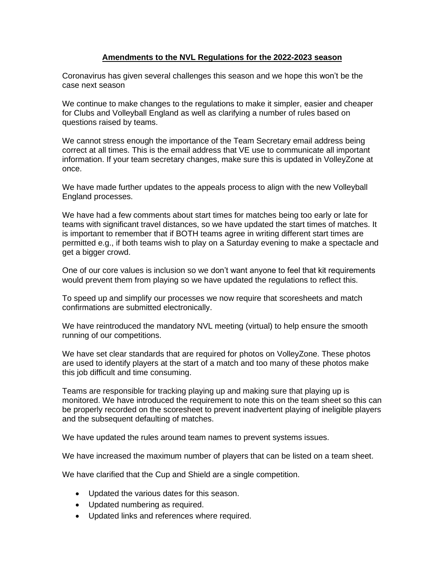### **Amendments to the NVL Regulations for the 2022-2023 season**

Coronavirus has given several challenges this season and we hope this won't be the case next season

We continue to make changes to the regulations to make it simpler, easier and cheaper for Clubs and Volleyball England as well as clarifying a number of rules based on questions raised by teams.

We cannot stress enough the importance of the Team Secretary email address being correct at all times. This is the email address that VE use to communicate all important information. If your team secretary changes, make sure this is updated in VolleyZone at once.

We have made further updates to the appeals process to align with the new Volleyball England processes.

We have had a few comments about start times for matches being too early or late for teams with significant travel distances, so we have updated the start times of matches. It is important to remember that if BOTH teams agree in writing different start times are permitted e.g., if both teams wish to play on a Saturday evening to make a spectacle and get a bigger crowd.

One of our core values is inclusion so we don't want anyone to feel that kit requirements would prevent them from playing so we have updated the regulations to reflect this.

To speed up and simplify our processes we now require that scoresheets and match confirmations are submitted electronically.

We have reintroduced the mandatory NVL meeting (virtual) to help ensure the smooth running of our competitions.

We have set clear standards that are required for photos on VolleyZone. These photos are used to identify players at the start of a match and too many of these photos make this job difficult and time consuming.

Teams are responsible for tracking playing up and making sure that playing up is monitored. We have introduced the requirement to note this on the team sheet so this can be properly recorded on the scoresheet to prevent inadvertent playing of ineligible players and the subsequent defaulting of matches.

We have updated the rules around team names to prevent systems issues.

We have increased the maximum number of players that can be listed on a team sheet.

We have clarified that the Cup and Shield are a single competition.

- Updated the various dates for this season.
- Updated numbering as required.
- Updated links and references where required.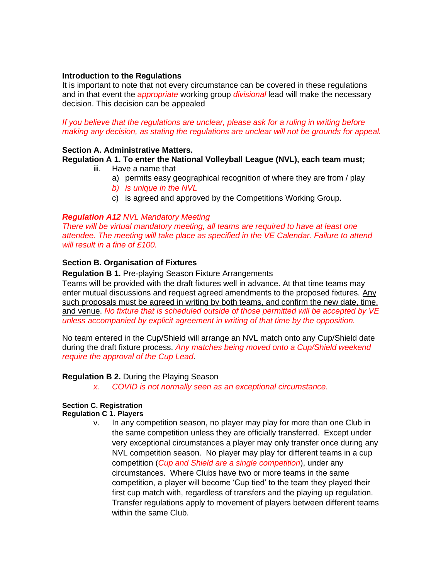#### **Introduction to the Regulations**

It is important to note that not every circumstance can be covered in these regulations and in that event the *appropriate* working group *divisional* lead will make the necessary decision. This decision can be appealed

### *If you believe that the regulations are unclear, please ask for a ruling in writing before making any decision, as stating the regulations are unclear will not be grounds for appeal.*

### **Section A. Administrative Matters.**

# **Regulation A 1. To enter the National Volleyball League (NVL), each team must;**

- iii. Have a name that
	- a) permits easy geographical recognition of where they are from / play
	- *b) is unique in the NVL*
	- c) is agreed and approved by the Competitions Working Group.

### *Regulation A12 NVL Mandatory Meeting*

*There will be virtual mandatory meeting, all teams are required to have at least one attendee. The meeting will take place as specified in the VE Calendar. Failure to attend will result in a fine of £100.*

# **Section B. Organisation of Fixtures**

### **Regulation B 1.** Pre-playing Season Fixture Arrangements

Teams will be provided with the draft fixtures well in advance. At that time teams may enter mutual discussions and request agreed amendments to the proposed fixtures. Any such proposals must be agreed in writing by both teams, and confirm the new date, time, and venue. *No fixture that is scheduled outside of those permitted will be accepted by VE unless accompanied by explicit agreement in writing of that time by the opposition.*

No team entered in the Cup/Shield will arrange an NVL match onto any Cup/Shield date during the draft fixture process. *Any matches being moved onto a Cup/Shield weekend require the approval of the Cup Lead*.

#### **Regulation B 2.** During the Playing Season

*x. COVID is not normally seen as an exceptional circumstance.*

# **Section C. Registration**

#### **Regulation C 1. Players**

v. In any competition season, no player may play for more than one Club in the same competition unless they are officially transferred. Except under very exceptional circumstances a player may only transfer once during any NVL competition season. No player may play for different teams in a cup competition (*Cup and Shield are a single competition*), under any circumstances. Where Clubs have two or more teams in the same competition, a player will become 'Cup tied' to the team they played their first cup match with, regardless of transfers and the playing up regulation. Transfer regulations apply to movement of players between different teams within the same Club.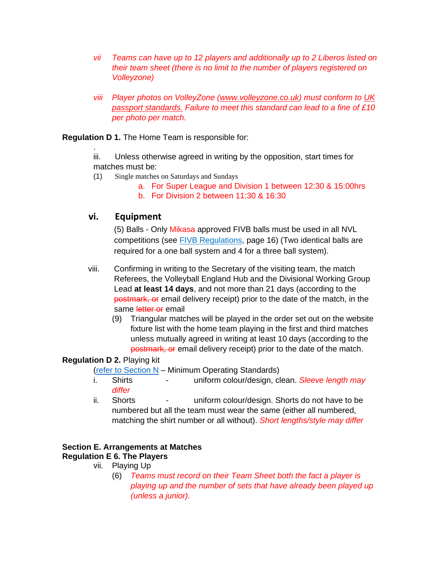- *vii Teams can have up to 12 players and additionally up to 2 Liberos listed on their team sheet (there is no limit to the number of players registered on Volleyzone)*
- *viii Player photos on VolleyZone [\(www.volleyzone.co.uk\)](http://www.volleyzone.co.uk/) must conform to [UK](https://www.gov.uk/photos-for-passports)  [passport standards.](https://www.gov.uk/photos-for-passports) Failure to meet this standard can lead to a fine of £10 per photo per match.*

# **Regulation D 1.** The Home Team is responsible for:

iii. Unless otherwise agreed in writing by the opposition, start times for matches must be:

- (1) Single matches on Saturdays and Sundays
	- a. For Super League and Division 1 between 12:30 & 15:00hrs b. For Division 2 between 11:30 & 16:30

# **vi. Equipment**

.

(5) Balls - Only Mikasa approved FIVB balls must be used in all NVL competitions (see [FIVB Regulations,](https://www.fivb.com/-/media/2022/coorporate/volleyball/rules%202021-2024/fivb-volleyball_rules2021_2024-en-v01e.pdf?la=en&hash=1B092E099B8C5ABEB0ED3E565993CF0B) page 16) (Two identical balls are required for a one ball system and 4 for a three ball system).

- viii. Confirming in writing to the Secretary of the visiting team, the match Referees, the Volleyball England Hub and the Divisional Working Group Lead **at least 14 days**, and not more than 21 days (according to the postmark, or email delivery receipt) prior to the date of the match, in the same letter or email
	- (9) Triangular matches will be played in the order set out on the website fixture list with the home team playing in the first and third matches unless mutually agreed in writing at least 10 days (according to the postmark, or email delivery receipt) prior to the date of the match.

# **Regulation D 2.** Playing kit

(refer to Section  $N - M$ inimum Operating Standards)

- i. Shirts uniform colour/design, clean. **Sleeve length may** *differ*
- ii. Shorts uniform colour/design. Shorts do not have to be numbered but all the team must wear the same (either all numbered, matching the shirt number or all without). *Short lengths/style may differ*

# **Section E. Arrangements at Matches**

# **Regulation E 6. The Players**

- vii. Playing Up
	- (6) *Teams must record on their Team Sheet both the fact a player is playing up and the number of sets that have already been played up (unless a junior).*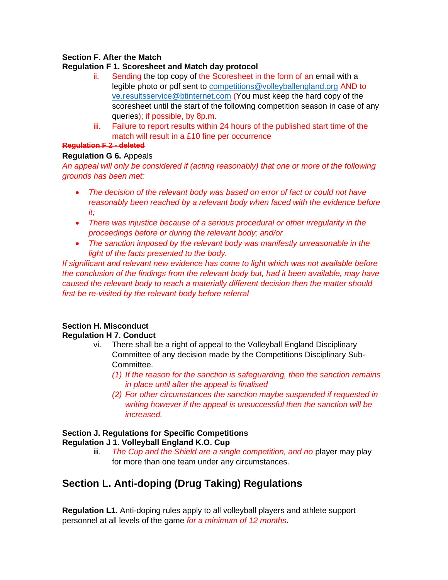# **Section F. After the Match**

# **Regulation F 1. Scoresheet and Match day protocol**

- ii. Sending the top copy of the Scoresheet in the form of an email with a legible photo or pdf sent to competitions@volleyballengland.org AND to ve.resultsservice@btinternet.com (You must keep the hard copy of the scoresheet until the start of the following competition season in case of any queries); if possible, by 8p.m.
- iii. Failure to report results within 24 hours of the published start time of the match will result in a £10 fine per occurrence

# **Regulation F 2 - deleted**

# **Regulation G 6.** Appeals

*An appeal will only be considered if (acting reasonably) that one or more of the following grounds has been met:*

- *The decision of the relevant body was based on error of fact or could not have reasonably been reached by a relevant body when faced with the evidence before it;*
- *There was injustice because of a serious procedural or other irregularity in the proceedings before or during the relevant body; and/or*
- *The sanction imposed by the relevant body was manifestly unreasonable in the light of the facts presented to the body.*

*If significant and relevant new evidence has come to light which was not available before the conclusion of the findings from the relevant body but, had it been available, may have caused the relevant body to reach a materially different decision then the matter should first be re-visited by the relevant body before referral*

#### **Section H. Misconduct Regulation H 7. Conduct**

- vi. There shall be a right of appeal to the Volleyball England Disciplinary Committee of any decision made by the Competitions Disciplinary Sub-Committee.
	- *(1) If the reason for the sanction is safeguarding, then the sanction remains in place until after the appeal is finalised*
	- *(2) For other circumstances the sanction maybe suspended if requested in writing however if the appeal is unsuccessful then the sanction will be increased.*

#### **Section J. Regulations for Specific Competitions Regulation J 1. Volleyball England K.O. Cup**

iii. *The Cup and the Shield are a single competition, and no* player may play for more than one team under any circumstances.

# **Section L. Anti-doping (Drug Taking) Regulations**

**Regulation L1.** Anti-doping rules apply to all volleyball players and athlete support personnel at all levels of the game *for a minimum of 12 months*.